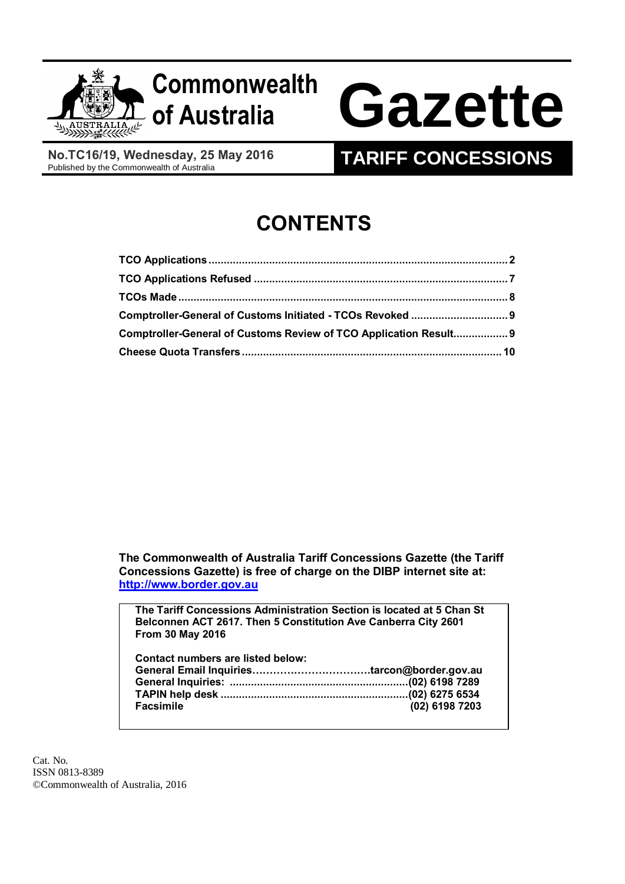

# **Commonwealth**

# **of Australia Gazette**

**No.TC16/19, Wednesday, 25 May 2016**<br>Published by the Commonwealth of Australia

# **TARIFF CONCESSIONS**

# **CONTENTS**

| Comptroller-General of Customs Review of TCO Application Result 9 |  |
|-------------------------------------------------------------------|--|
|                                                                   |  |

**The Commonwealth of Australia Tariff Concessions Gazette (the Tariff Concessions Gazette) is free of charge on the DIBP internet site at: [http://www.border.gov.au](http://www.border.gov.au/)**

**The Tariff Concessions Administration Section is located at 5 Chan St Belconnen ACT 2617. Then 5 Constitution Ave Canberra City 2601 From 30 May 2016**

| Contact numbers are listed below: |                |
|-----------------------------------|----------------|
|                                   |                |
|                                   |                |
|                                   |                |
| <b>Facsimile</b>                  | (02) 6198 7203 |

Cat. No. ISSN 0813-8389 ©Commonwealth of Australia, 2016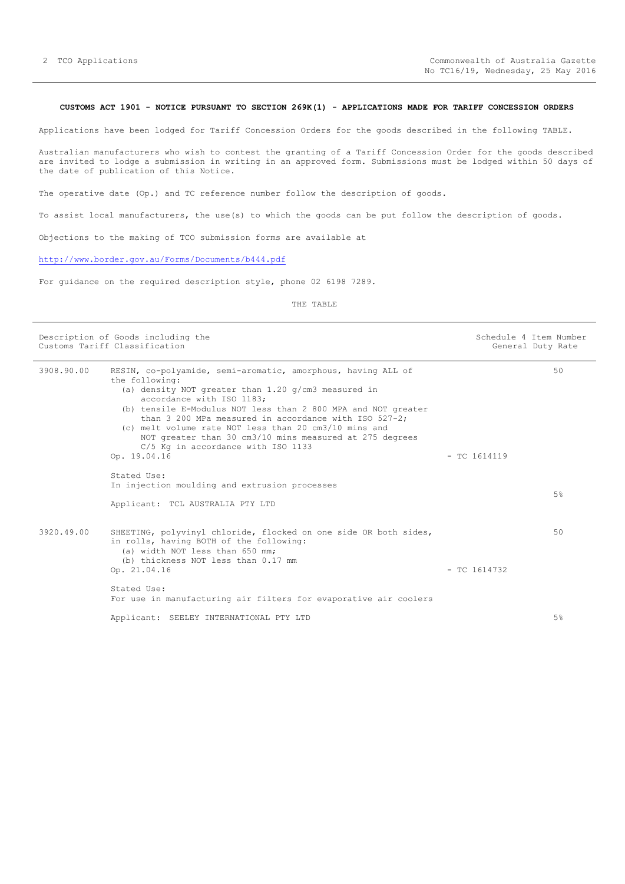#### <span id="page-1-0"></span>**CUSTOMS ACT 1901 - NOTICE PURSUANT TO SECTION 269K(1) - APPLICATIONS MADE FOR TARIFF CONCESSION ORDERS**

Applications have been lodged for Tariff Concession Orders for the goods described in the following TABLE.

Australian manufacturers who wish to contest the granting of a Tariff Concession Order for the goods described are invited to lodge a submission in writing in an approved form. Submissions must be lodged within 50 days of the date of publication of this Notice.

The operative date (Op.) and TC reference number follow the description of goods.

To assist local manufacturers, the use(s) to which the goods can be put follow the description of goods.

Objections to the making of TCO submission forms are available at

### <http://www.border.gov.au/Forms/Documents/b444.pdf>

For guidance on the required description style, phone 02 6198 7289.

|            | Description of Goods including the<br>Customs Tariff Classification                                                                                                                                                                                                                                                                                                                                                                                                         |                | Schedule 4 Item Number<br>General Duty Rate |
|------------|-----------------------------------------------------------------------------------------------------------------------------------------------------------------------------------------------------------------------------------------------------------------------------------------------------------------------------------------------------------------------------------------------------------------------------------------------------------------------------|----------------|---------------------------------------------|
| 3908.90.00 | RESIN, co-polyamide, semi-aromatic, amorphous, having ALL of<br>the following:<br>(a) density NOT greater than $1.20$ g/cm3 measured in<br>accordance with ISO 1183;<br>(b) tensile E-Modulus NOT less than 2 800 MPA and NOT greater<br>than 3 200 MPa measured in accordance with ISO $527-2$ :<br>(c) melt volume rate NOT less than 20 cm3/10 mins and<br>NOT greater than 30 cm3/10 mins measured at 275 degrees<br>C/5 Kg in accordance with ISO 1133<br>Op. 19.04.16 | $-$ TC 1614119 | 50                                          |
|            | Stated Use:<br>In injection moulding and extrusion processes<br>Applicant: TCL AUSTRALIA PTY LTD                                                                                                                                                                                                                                                                                                                                                                            |                | 5%                                          |
| 3920.49.00 | SHEETING, polyvinyl chloride, flocked on one side OR both sides,<br>in rolls, having BOTH of the following:<br>(a) width NOT less than 650 mm;<br>(b) thickness NOT less than 0.17 mm<br>Op. 21.04.16                                                                                                                                                                                                                                                                       | $-$ TC 1614732 | 50                                          |
|            | Stated Use:<br>For use in manufacturing air filters for evaporative air coolers<br>Applicant: SEELEY INTERNATIONAL PTY LTD                                                                                                                                                                                                                                                                                                                                                  |                | 5%                                          |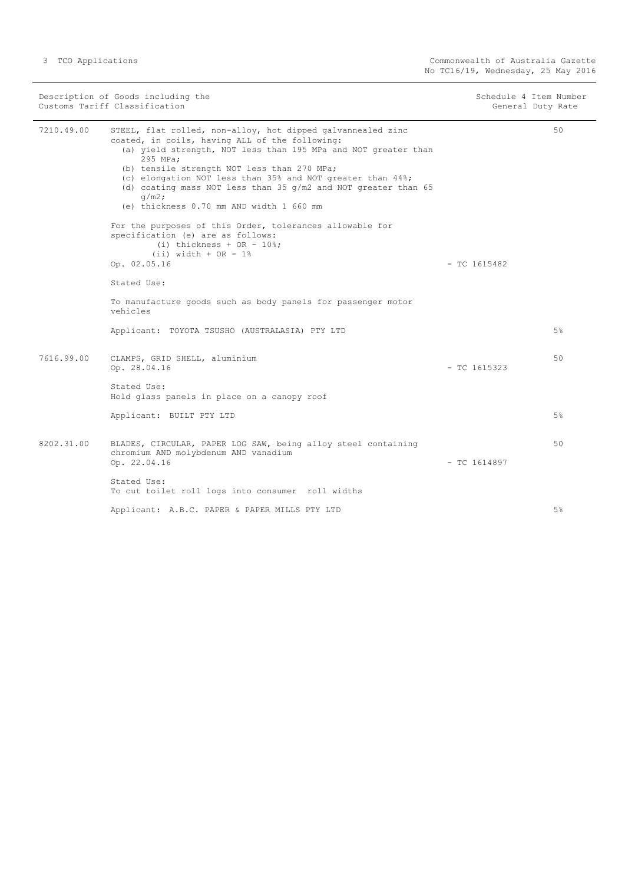| Description of Goods including the<br>Customs Tariff Classification |                                                                                                                                                                                                                                                                                                                                                                                                                                      | Schedule 4 Item Number<br>General Duty Rate |       |
|---------------------------------------------------------------------|--------------------------------------------------------------------------------------------------------------------------------------------------------------------------------------------------------------------------------------------------------------------------------------------------------------------------------------------------------------------------------------------------------------------------------------|---------------------------------------------|-------|
| 7210.49.00                                                          | STEEL, flat rolled, non-alloy, hot dipped galvannealed zinc<br>coated, in coils, having ALL of the following:<br>(a) yield strength, NOT less than 195 MPa and NOT greater than<br>295 MPa;<br>(b) tensile strength NOT less than 270 MPa;<br>(c) elongation NOT less than 35% and NOT greater than 44%;<br>(d) coating mass NOT less than 35 $q/m2$ and NOT greater than 65<br>$q/m2$ ;<br>(e) thickness 0.70 mm AND width 1 660 mm |                                             | 50    |
|                                                                     | For the purposes of this Order, tolerances allowable for<br>specification (e) are as follows:<br>$(i)$ thickness + OR - 10%;<br>$(ii)$ width + OR - 1%<br>Op. 02.05.16                                                                                                                                                                                                                                                               | $-$ TC 1615482                              |       |
|                                                                     | Stated Use:                                                                                                                                                                                                                                                                                                                                                                                                                          |                                             |       |
|                                                                     | To manufacture goods such as body panels for passenger motor<br>vehicles                                                                                                                                                                                                                                                                                                                                                             |                                             |       |
|                                                                     | Applicant: TOYOTA TSUSHO (AUSTRALASIA) PTY LTD                                                                                                                                                                                                                                                                                                                                                                                       |                                             | 5%    |
| 7616.99.00                                                          | CLAMPS, GRID SHELL, aluminium<br>Op. 28.04.16                                                                                                                                                                                                                                                                                                                                                                                        | $-$ TC 1615323                              | 50    |
|                                                                     | Stated Use:<br>Hold glass panels in place on a canopy roof                                                                                                                                                                                                                                                                                                                                                                           |                                             |       |
|                                                                     | Applicant: BUILT PTY LTD                                                                                                                                                                                                                                                                                                                                                                                                             |                                             | $5\%$ |
| 8202.31.00                                                          | BLADES, CIRCULAR, PAPER LOG SAW, being alloy steel containing<br>chromium AND molybdenum AND vanadium<br>Op. 22.04.16                                                                                                                                                                                                                                                                                                                | $-$ TC 1614897                              | 50    |
|                                                                     | Stated Use:<br>To cut toilet roll logs into consumer roll widths                                                                                                                                                                                                                                                                                                                                                                     |                                             |       |
|                                                                     | Applicant: A.B.C. PAPER & PAPER MILLS PTY LTD                                                                                                                                                                                                                                                                                                                                                                                        |                                             | 5%    |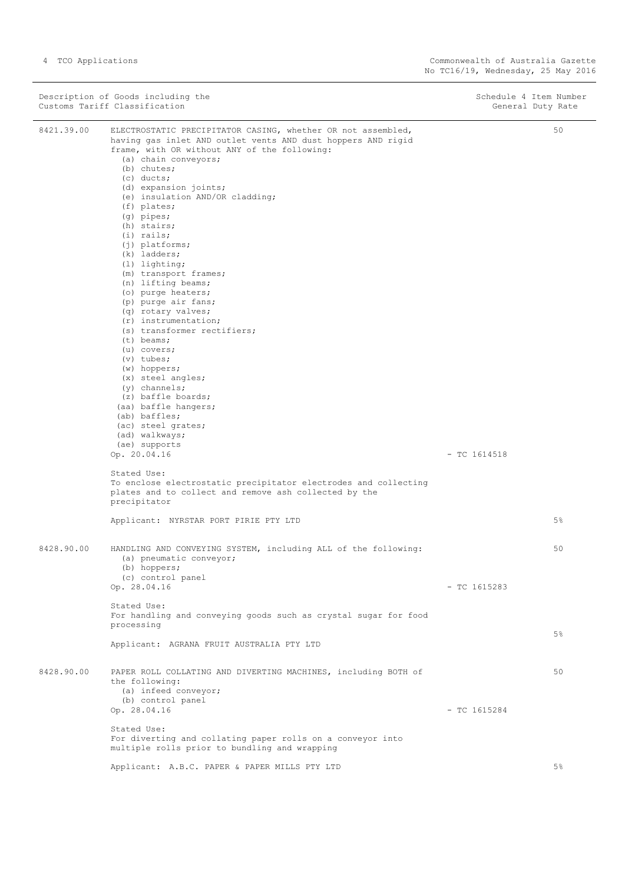|            | Description of Goods including the<br>Customs Tariff Classification                                                                                                                                                                                                                                                                                                                                                                                                                                                                                                                                                                                                                                                                                                                                                       | Schedule 4 Item Number<br>General Duty Rate |    |
|------------|---------------------------------------------------------------------------------------------------------------------------------------------------------------------------------------------------------------------------------------------------------------------------------------------------------------------------------------------------------------------------------------------------------------------------------------------------------------------------------------------------------------------------------------------------------------------------------------------------------------------------------------------------------------------------------------------------------------------------------------------------------------------------------------------------------------------------|---------------------------------------------|----|
| 8421.39.00 | ELECTROSTATIC PRECIPITATOR CASING, whether OR not assembled,<br>having gas inlet AND outlet vents AND dust hoppers AND rigid<br>frame, with OR without ANY of the following:<br>(a) chain conveyors;<br>$(b)$ chutes;<br>$(c)$ ducts;<br>(d) expansion joints;<br>(e) insulation AND/OR cladding;<br>$(f)$ plates;<br>$(q)$ pipes;<br>(h) stairs;<br>$(i)$ rails;<br>$(j)$ platforms;<br>$(k)$ ladders;<br>$(1)$ lighting;<br>(m) transport frames;<br>(n) lifting beams;<br>(o) purge heaters;<br>(p) purge air fans;<br>(q) rotary valves;<br>$(r)$ instrumentation;<br>(s) transformer rectifiers;<br>$(t)$ beams;<br>$(u)$ covers;<br>$(v)$ tubes;<br>$(w)$ hoppers;<br>$(x)$ steel angles;<br>$(y)$ channels;<br>(z) baffle boards;<br>(aa) baffle hangers;<br>(ab) baffles;<br>(ac) steel grates;<br>(ad) walkways; |                                             | 50 |
|            | (ae) supports<br>Op. 20.04.16<br>Stated Use:                                                                                                                                                                                                                                                                                                                                                                                                                                                                                                                                                                                                                                                                                                                                                                              | $-$ TC 1614518                              |    |
|            | To enclose electrostatic precipitator electrodes and collecting<br>plates and to collect and remove ash collected by the<br>precipitator                                                                                                                                                                                                                                                                                                                                                                                                                                                                                                                                                                                                                                                                                  |                                             |    |
|            | Applicant: NYRSTAR PORT PIRIE PTY LTD                                                                                                                                                                                                                                                                                                                                                                                                                                                                                                                                                                                                                                                                                                                                                                                     |                                             | 5% |
| 8428.90.00 | HANDLING AND CONVEYING SYSTEM, including ALL of the following:<br>(a) pneumatic conveyor;<br>(b) hoppers;                                                                                                                                                                                                                                                                                                                                                                                                                                                                                                                                                                                                                                                                                                                 |                                             | 50 |
|            | (c) control panel<br>Op. 28.04.16                                                                                                                                                                                                                                                                                                                                                                                                                                                                                                                                                                                                                                                                                                                                                                                         | $-$ TC 1615283                              |    |
|            | Stated Use:<br>For handling and conveying goods such as crystal sugar for food<br>processing                                                                                                                                                                                                                                                                                                                                                                                                                                                                                                                                                                                                                                                                                                                              |                                             |    |
|            | Applicant: AGRANA FRUIT AUSTRALIA PTY LTD                                                                                                                                                                                                                                                                                                                                                                                                                                                                                                                                                                                                                                                                                                                                                                                 |                                             | 5% |
| 8428.90.00 | PAPER ROLL COLLATING AND DIVERTING MACHINES, including BOTH of<br>the following:<br>(a) infeed conveyor;<br>(b) control panel                                                                                                                                                                                                                                                                                                                                                                                                                                                                                                                                                                                                                                                                                             |                                             | 50 |
|            | Op. 28.04.16                                                                                                                                                                                                                                                                                                                                                                                                                                                                                                                                                                                                                                                                                                                                                                                                              | $-$ TC 1615284                              |    |
|            | Stated Use:<br>For diverting and collating paper rolls on a conveyor into<br>multiple rolls prior to bundling and wrapping                                                                                                                                                                                                                                                                                                                                                                                                                                                                                                                                                                                                                                                                                                |                                             |    |
|            | Applicant: A.B.C. PAPER & PAPER MILLS PTY LTD                                                                                                                                                                                                                                                                                                                                                                                                                                                                                                                                                                                                                                                                                                                                                                             |                                             | 5% |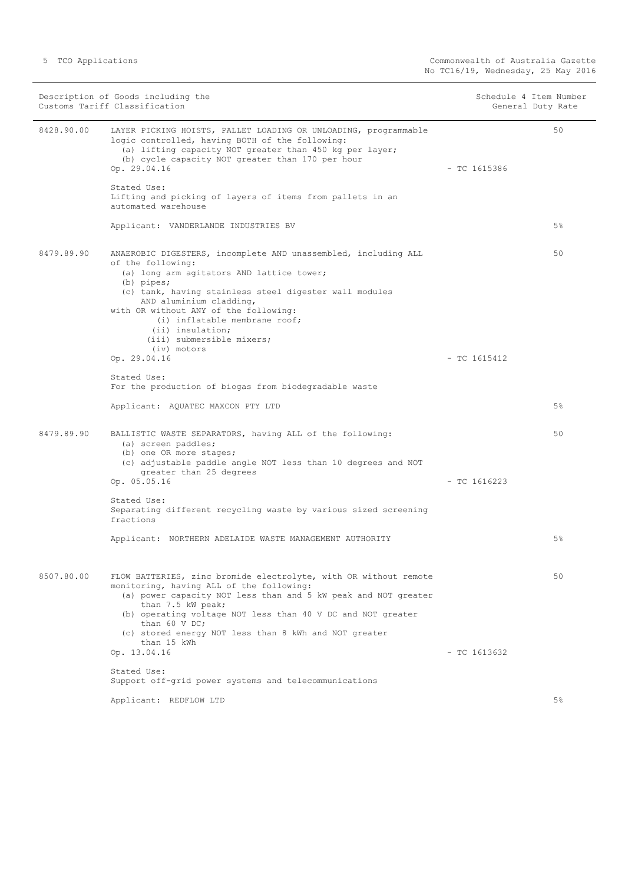| Description of Goods including the<br>Customs Tariff Classification |                                                                                                                                                                                                                                                                                                                                                                                 | Schedule 4 Item Number<br>General Duty Rate |       |
|---------------------------------------------------------------------|---------------------------------------------------------------------------------------------------------------------------------------------------------------------------------------------------------------------------------------------------------------------------------------------------------------------------------------------------------------------------------|---------------------------------------------|-------|
| 8428.90.00                                                          | LAYER PICKING HOISTS, PALLET LOADING OR UNLOADING, programmable<br>logic controlled, having BOTH of the following:<br>(a) lifting capacity NOT greater than 450 kg per layer;<br>(b) cycle capacity NOT greater than 170 per hour<br>Op. 29.04.16                                                                                                                               | $-$ TC 1615386                              | 50    |
|                                                                     | Stated Use:<br>Lifting and picking of layers of items from pallets in an<br>automated warehouse                                                                                                                                                                                                                                                                                 |                                             |       |
|                                                                     | Applicant: VANDERLANDE INDUSTRIES BV                                                                                                                                                                                                                                                                                                                                            |                                             | 5%    |
| 8479.89.90                                                          | ANAEROBIC DIGESTERS, incomplete AND unassembled, including ALL<br>of the following:<br>(a) long arm agitators AND lattice tower;<br>$(b)$ pipes;<br>(c) tank, having stainless steel digester wall modules<br>AND aluminium cladding,<br>with OR without ANY of the following:<br>(i) inflatable membrane roof;<br>(ii) insulation;<br>(iii) submersible mixers;<br>(iv) motors |                                             | 50    |
|                                                                     | Op. 29.04.16                                                                                                                                                                                                                                                                                                                                                                    | $-$ TC 1615412                              |       |
|                                                                     | Stated Use:<br>For the production of biogas from biodegradable waste                                                                                                                                                                                                                                                                                                            |                                             |       |
|                                                                     | Applicant: AQUATEC MAXCON PTY LTD                                                                                                                                                                                                                                                                                                                                               |                                             | $5\%$ |
| 8479.89.90                                                          | BALLISTIC WASTE SEPARATORS, having ALL of the following:<br>(a) screen paddles;<br>(b) one OR more stages;<br>(c) adjustable paddle angle NOT less than 10 degrees and NOT<br>greater than 25 degrees                                                                                                                                                                           |                                             | 50    |
|                                                                     | Op. 05.05.16                                                                                                                                                                                                                                                                                                                                                                    | $-$ TC 1616223                              |       |
|                                                                     | Stated Use:<br>Separating different recycling waste by various sized screening<br>fractions                                                                                                                                                                                                                                                                                     |                                             |       |
|                                                                     | Applicant: NORTHERN ADELAIDE WASTE MANAGEMENT AUTHORITY                                                                                                                                                                                                                                                                                                                         |                                             | 5%    |
| 8507.80.00                                                          | FLOW BATTERIES, zinc bromide electrolyte, with OR without remote<br>monitoring, having ALL of the following:<br>(a) power capacity NOT less than and 5 kW peak and NOT greater<br>than 7.5 kW peak;<br>(b) operating voltage NOT less than 40 V DC and NOT greater<br>than 60 V DC;<br>(c) stored energy NOT less than 8 kWh and NOT greater<br>than 15 kWh                     |                                             | 50    |
|                                                                     | Op. 13.04.16                                                                                                                                                                                                                                                                                                                                                                    | $-$ TC 1613632                              |       |
|                                                                     | Stated Use:<br>Support off-grid power systems and telecommunications                                                                                                                                                                                                                                                                                                            |                                             |       |
|                                                                     | Applicant: REDFLOW LTD                                                                                                                                                                                                                                                                                                                                                          |                                             | $5\%$ |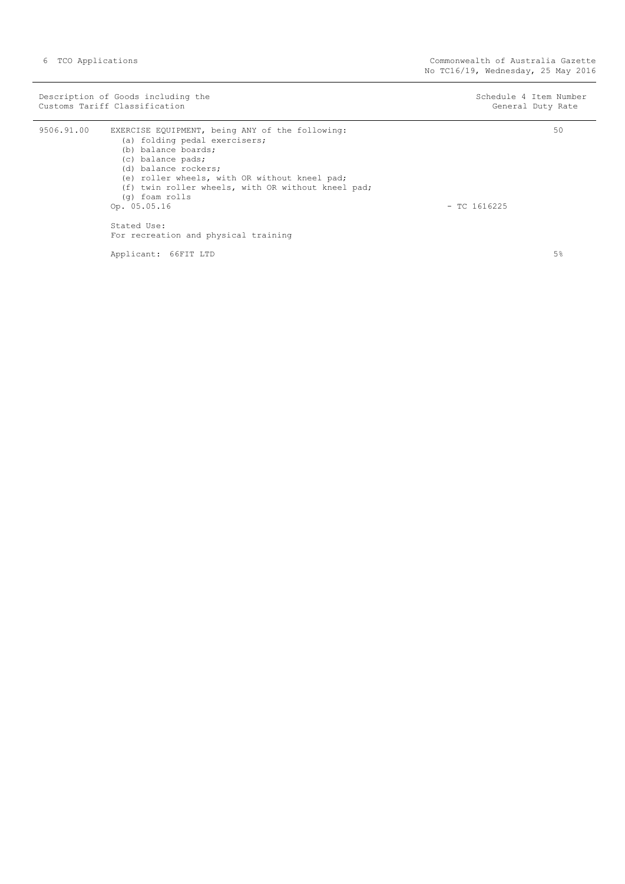|            | Description of Goods including the<br>Customs Tariff Classification                                                                                                                                                                                                                                                                                  | Schedule 4 Item Number<br>General Duty Rate |
|------------|------------------------------------------------------------------------------------------------------------------------------------------------------------------------------------------------------------------------------------------------------------------------------------------------------------------------------------------------------|---------------------------------------------|
| 9506.91.00 | EXERCISE EQUIPMENT, being ANY of the following:<br>(a) folding pedal exercisers;<br>(b) balance boards;<br>(c) balance pads;<br>(d) balance rockers;<br>(e) roller wheels, with OR without kneel pad;<br>(f) twin roller wheels, with OR without kneel pad;<br>(g) foam rolls<br>Op. 05.05.16<br>Stated Use:<br>For recreation and physical training | 50<br>$-$ TC 1616225                        |

Applicant: 66FIT LTD

5%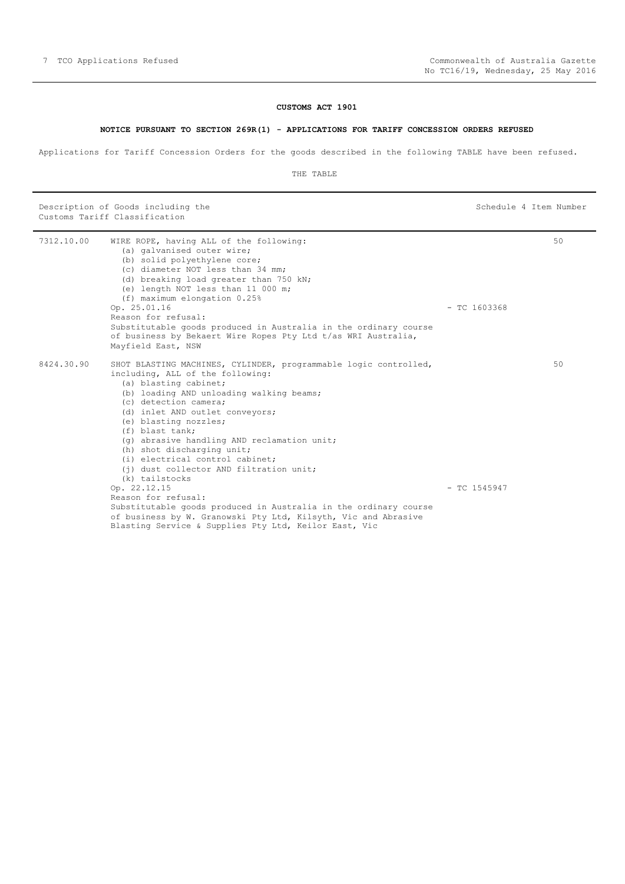#### **NOTICE PURSUANT TO SECTION 269R(1) - APPLICATIONS FOR TARIFF CONCESSION ORDERS REFUSED**

<span id="page-6-0"></span>Applications for Tariff Concession Orders for the goods described in the following TABLE have been refused.

THE TABLE

Description of Goods including the Schedule 4 Item Number (Schedule 4 Item Number Customs Tariff Classification

| 7312.10.00 | WIRE ROPE, having ALL of the following:<br>(a) galvanised outer wire;<br>(b) solid polyethylene core;<br>(c) diameter NOT less than 34 mm;<br>(d) breaking load greater than 750 kN;<br>(e) length NOT less than 11 000 m;<br>$(f)$ maximum elongation $0.25$ <sup>%</sup><br>Op. 25.01.16<br>Reason for refusal:<br>Substitutable goods produced in Australia in the ordinary course<br>of business by Bekaert Wire Ropes Pty Ltd t/as WRI Australia,<br>Mayfield East, NSW                                                                                                                                                                                                                         | $-$ TC 1603368 | 50 |
|------------|------------------------------------------------------------------------------------------------------------------------------------------------------------------------------------------------------------------------------------------------------------------------------------------------------------------------------------------------------------------------------------------------------------------------------------------------------------------------------------------------------------------------------------------------------------------------------------------------------------------------------------------------------------------------------------------------------|----------------|----|
| 8424.30.90 | SHOT BLASTING MACHINES, CYLINDER, programmable logic controlled,<br>including, ALL of the following:<br>(a) blasting cabinet;<br>(b) loading AND unloading walking beams;<br>(c) detection camera;<br>(d) inlet AND outlet conveyors;<br>(e) blasting nozzles;<br>(f) blast tank:<br>(q) abrasive handling AND reclamation unit;<br>(h) shot discharging unit;<br>(i) electrical control cabinet;<br>(i) dust collector AND filtration unit;<br>(k) tailstocks<br>Op. 22.12.15<br>Reason for refusal:<br>Substitutable goods produced in Australia in the ordinary course<br>of business by W. Granowski Pty Ltd, Kilsyth, Vic and Abrasive<br>Blasting Service & Supplies Pty Ltd, Keilor East, Vic | $-$ TC 1545947 | 50 |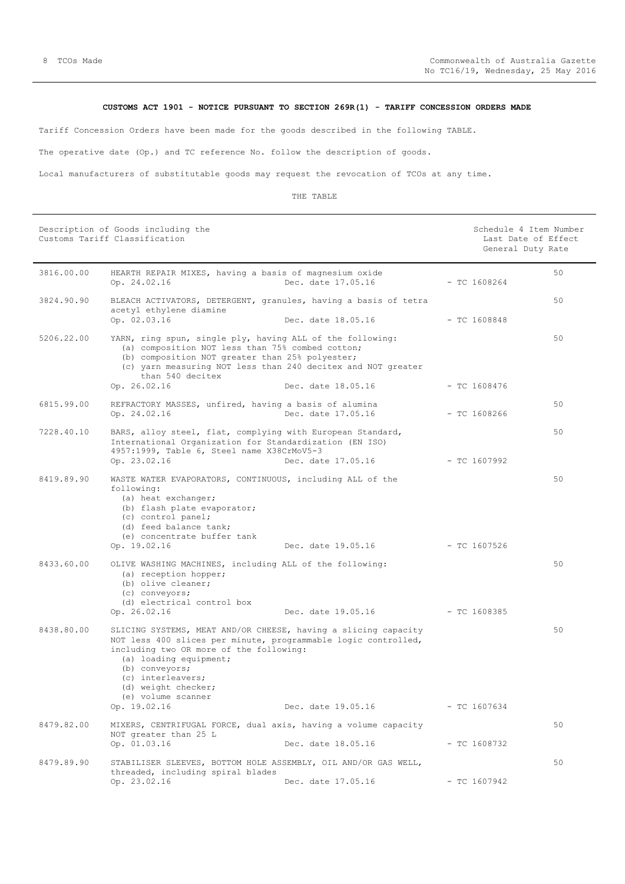# **CUSTOMS ACT 1901 - NOTICE PURSUANT TO SECTION 269R(1) - TARIFF CONCESSION ORDERS MADE**

<span id="page-7-0"></span>Tariff Concession Orders have been made for the goods described in the following TABLE.

The operative date (Op.) and TC reference No. follow the description of goods.

Local manufacturers of substitutable goods may request the revocation of TCOs at any time.

|            | Description of Goods including the<br>Customs Tariff Classification                                                                                                                                                                                                                       |                                 | Schedule 4 Item Number<br>Last Date of Effect<br>General Duty Rate |  |
|------------|-------------------------------------------------------------------------------------------------------------------------------------------------------------------------------------------------------------------------------------------------------------------------------------------|---------------------------------|--------------------------------------------------------------------|--|
| 3816.00.00 | HEARTH REPAIR MIXES, having a basis of magnesium oxide<br>Op. 24.02.16                                                                                                                                                                                                                    | Dec. date 17.05.16              | 50<br>$-$ TC 1608264                                               |  |
| 3824.90.90 | BLEACH ACTIVATORS, DETERGENT, granules, having a basis of tetra<br>acetyl ethylene diamine<br>Op. 02.03.16                                                                                                                                                                                | Dec. date 18.05.16              | 50<br>- TC 1608848                                                 |  |
| 5206.22.00 | YARN, ring spun, single ply, having ALL of the following:<br>(a) composition NOT less than 75% combed cotton;<br>(b) composition NOT greater than 25% polyester;<br>(c) yarn measuring NOT less than 240 decitex and NOT greater<br>than 540 decitex<br>Op. 26.02.16                      | Dec. date 18.05.16              | 50<br>$-$ TC 1608476                                               |  |
| 6815.99.00 | REFRACTORY MASSES, unfired, having a basis of alumina<br>Op. 24.02.16                                                                                                                                                                                                                     | Dec. date 17.05.16              | 50<br>$-$ TC 1608266                                               |  |
| 7228.40.10 | BARS, alloy steel, flat, complying with European Standard,<br>International Organization for Standardization (EN ISO)<br>4957:1999, Table 6, Steel name X38CrMoV5-3                                                                                                                       | Dec. date 17.05.16 - TC 1607992 | 50                                                                 |  |
| 8419.89.90 | Op. 23.02.16<br>WASTE WATER EVAPORATORS, CONTINUOUS, including ALL of the<br>following:<br>(a) heat exchanger;<br>(b) flash plate evaporator;<br>(c) control panel;<br>(d) feed balance tank;<br>(e) concentrate buffer tank<br>Op. 19.02.16                                              | Dec. date 19.05.16              | 50<br>- TC 1607526                                                 |  |
| 8433.60.00 | OLIVE WASHING MACHINES, including ALL of the following:<br>(a) reception hopper;<br>(b) olive cleaner;<br>(c) conveyors;<br>(d) electrical control box<br>Op. 26.02.16                                                                                                                    | Dec. date 19.05.16 - TC 1608385 | 50                                                                 |  |
| 8438.80.00 | SLICING SYSTEMS, MEAT AND/OR CHEESE, having a slicing capacity<br>NOT less 400 slices per minute, programmable logic controlled,<br>including two OR more of the following:<br>(a) loading equipment;<br>(b) conveyors;<br>(c) interleavers;<br>(d) weight checker;<br>(e) volume scanner |                                 | 50                                                                 |  |
| 8479.82.00 | Op. 19.02.16<br>MIXERS, CENTRIFUGAL FORCE, dual axis, having a volume capacity                                                                                                                                                                                                            | Dec. date 19.05.16              | $-$ TC 1607634<br>50                                               |  |
|            | NOT greater than 25 L<br>Op. 01.03.16                                                                                                                                                                                                                                                     | Dec. date 18.05.16              | $- TC 1608732$                                                     |  |
| 8479.89.90 | STABILISER SLEEVES, BOTTOM HOLE ASSEMBLY, OIL AND/OR GAS WELL,<br>threaded, including spiral blades<br>Op. 23.02.16                                                                                                                                                                       | Dec. date 17.05.16              | 50<br>$-$ TC 1607942                                               |  |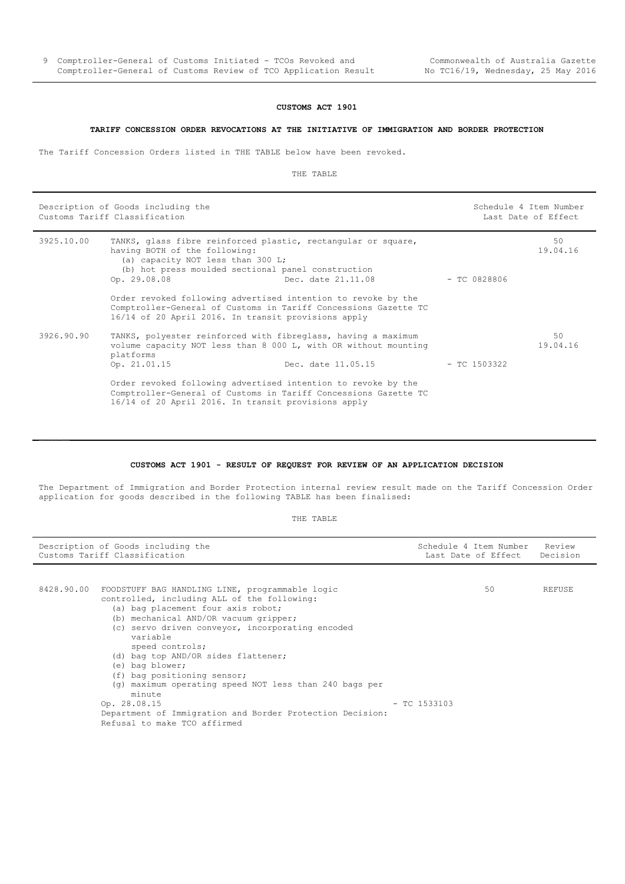#### **CUSTOMS ACT 1901**

#### **TARIFF CONCESSION ORDER REVOCATIONS AT THE INITIATIVE OF IMMIGRATION AND BORDER PROTECTION**

<span id="page-8-0"></span>The Tariff Concession Orders listed in THE TABLE below have been revoked.

÷,

THE TABLE

| Description of Goods including the<br>Customs Tariff Classification |                                                                                                                                                                                                           | Schedule 4 Item Number | Last Date of Effect |                |
|---------------------------------------------------------------------|-----------------------------------------------------------------------------------------------------------------------------------------------------------------------------------------------------------|------------------------|---------------------|----------------|
| 3925.10.00                                                          | TANKS, glass fibre reinforced plastic, rectangular or square,<br>having BOTH of the following:<br>(a) capacity NOT less than 300 L;<br>(b) hot press moulded sectional panel construction<br>Op. 29.08.08 | Dec. date 21.11.08     | — ТС 0828806        | 50<br>19.04.16 |
|                                                                     | Order revoked following advertised intention to revoke by the<br>Comptroller-General of Customs in Tariff Concessions Gazette TC<br>16/14 of 20 April 2016. In transit provisions apply                   |                        |                     |                |
| 3926.90.90                                                          | TANKS, polyester reinforced with fibreglass, having a maximum<br>volume capacity NOT less than 8 000 L, with OR without mounting<br>platforms<br>Op. 21.01.15                                             | Dec. date 11.05.15     | - TC 1503322        | 50<br>19.04.16 |
|                                                                     | Order revoked following advertised intention to revoke by the<br>Comptroller-General of Customs in Tariff Concessions Gazette TC<br>16/14 of 20 April 2016. In transit provisions apply                   |                        |                     |                |

#### **CUSTOMS ACT 1901 - RESULT OF REQUEST FOR REVIEW OF AN APPLICATION DECISION**

<span id="page-8-1"></span>The Department of Immigration and Border Protection internal review result made on the Tariff Concession Order application for goods described in the following TABLE has been finalised:

| Description of Goods including the<br>Customs Tariff Classification |                                                                                                                                                                                                                                                                                                                                                                                                                               | Schedule 4 Item Number<br>Last Date of Effect Decision | Review |  |
|---------------------------------------------------------------------|-------------------------------------------------------------------------------------------------------------------------------------------------------------------------------------------------------------------------------------------------------------------------------------------------------------------------------------------------------------------------------------------------------------------------------|--------------------------------------------------------|--------|--|
| 8428.90.00                                                          | FOODSTUFF BAG HANDLING LINE, programmable logic<br>controlled, including ALL of the following:<br>(a) bag placement four axis robot;<br>(b) mechanical AND/OR vacuum gripper;<br>(c) servo driven conveyor, incorporating encoded<br>variable<br>speed controls;<br>(d) bag top AND/OR sides flattener;<br>(e) bag blower;<br>(f) bag positioning sensor;<br>(q) maximum operating speed NOT less than 240 bags per<br>minute | 50                                                     | REFUSE |  |
|                                                                     | Op. 28.08.15<br>Department of Immigration and Border Protection Decision:<br>Refusal to make TCO affirmed                                                                                                                                                                                                                                                                                                                     | $-$ TC 1533103                                         |        |  |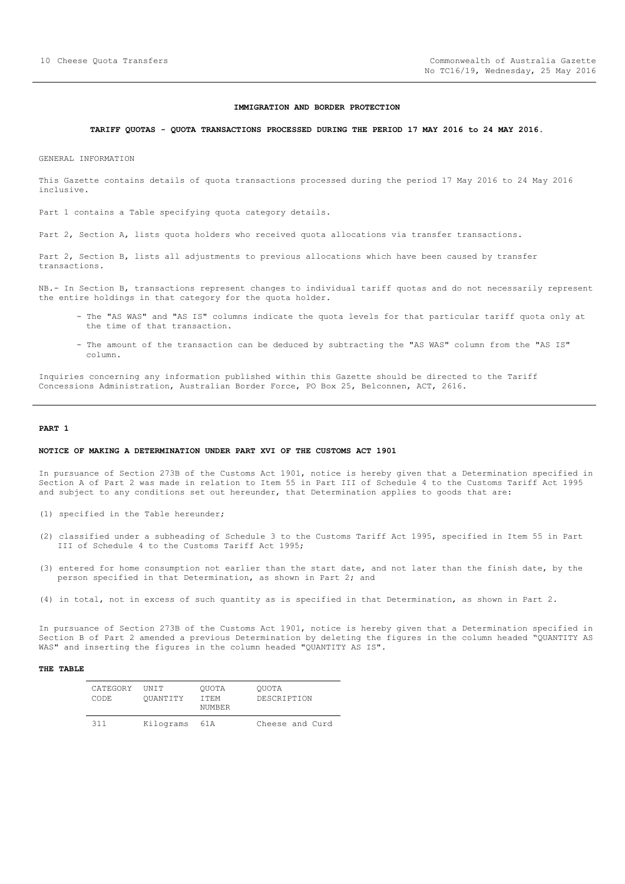#### **IMMIGRATION AND BORDER PROTECTION**

## <span id="page-9-0"></span>**TARIFF QUOTAS - QUOTA TRANSACTIONS PROCESSED DURING THE PERIOD 17 MAY 2016 to 24 MAY 2016.**

GENERAL INFORMATION

This Gazette contains details of quota transactions processed during the period 17 May 2016 to 24 May 2016 inclusive.

Part 1 contains a Table specifying quota category details.

Part 2, Section A, lists quota holders who received quota allocations via transfer transactions.

Part 2, Section B, lists all adjustments to previous allocations which have been caused by transfer transactions.

NB.- In Section B, transactions represent changes to individual tariff quotas and do not necessarily represent the entire holdings in that category for the quota holder.

- The "AS WAS" and "AS IS" columns indicate the quota levels for that particular tariff quota only at the time of that transaction.
- The amount of the transaction can be deduced by subtracting the "AS WAS" column from the "AS IS" column.

Inquiries concerning any information published within this Gazette should be directed to the Tariff Concessions Administration, Australian Border Force, PO Box 25, Belconnen, ACT, 2616.

#### **PART 1**

#### **NOTICE OF MAKING A DETERMINATION UNDER PART XVI OF THE CUSTOMS ACT 1901**

In pursuance of Section 273B of the Customs Act 1901, notice is hereby given that a Determination specified in Section A of Part 2 was made in relation to Item 55 in Part III of Schedule 4 to the Customs Tariff Act 1995 and subject to any conditions set out hereunder, that Determination applies to goods that are:

- (1) specified in the Table hereunder;
- (2) classified under a subheading of Schedule 3 to the Customs Tariff Act 1995, specified in Item 55 in Part III of Schedule 4 to the Customs Tariff Act 1995;
- (3) entered for home consumption not earlier than the start date, and not later than the finish date, by the person specified in that Determination, as shown in Part 2; and
- (4) in total, not in excess of such quantity as is specified in that Determination, as shown in Part 2.

In pursuance of Section 273B of the Customs Act 1901, notice is hereby given that a Determination specified in Section B of Part 2 amended a previous Determination by deleting the figures in the column headed "QUANTITY AS WAS" and inserting the figures in the column headed "QUANTITY AS IS".

| CATEGORY<br>CODE. | <b>TINTT</b><br>OUANTITY | OUOTA<br>T T F.M<br>NUMBER | OUOTA<br>DESCRIPTION |
|-------------------|--------------------------|----------------------------|----------------------|
| 311               | Kilograms                | 61 A                       | Cheese and Curd      |